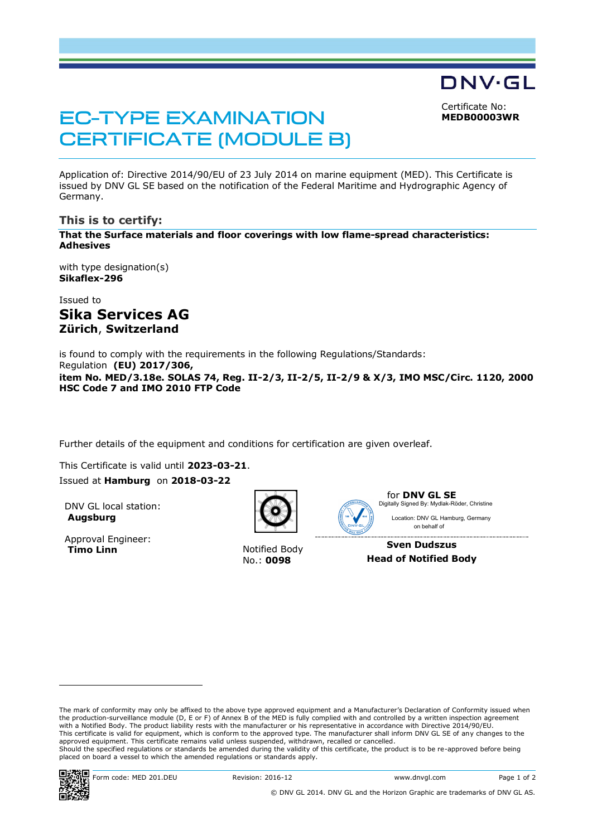Certificate No: **MEDB00003WR**

DNV·GL

# **EC-TYPE EXAMINATION CERTIFICATE (MODULE B)**

Application of: Directive 2014/90/EU of 23 July 2014 on marine equipment (MED). This Certificate is issued by DNV GL SE based on the notification of the Federal Maritime and Hydrographic Agency of Germany.

### **This is to certify:**

**That the Surface materials and floor coverings with low flame-spread characteristics: Adhesives**

with type designation(s) **Sikaflex-296**

Issued to **Sika Services AG Zürich**, **Switzerland**

is found to comply with the requirements in the following Regulations/Standards: Regulation **(EU) 2017/306, item No. MED/3.18e. SOLAS 74, Reg. II-2/3, II-2/5, II-2/9 & X/3, IMO MSC/Circ. 1120, 2000 HSC Code 7 and IMO 2010 FTP Code**

Further details of the equipment and conditions for certification are given overleaf.

This Certificate is valid until **2023-03-21**. Issued at **Hamburg** on **2018-03-22**

DNV GL local station: **Augsburg**

Approval Engineer:<br>Timo Linn



**Notified Body** No.: **0098**



for **DNV GL SE** Location: DNV GL Hamburg, Germany Digitally Signed By: Mydlak-Röder, Christine

 on behalf of **Sven Dudszus**

**Head of Notified Body**

The mark of conformity may only be affixed to the above type approved equipment and a Manufacturer's Declaration of Conformity issued when<br>the production-surveillance module (D, E or F) of Annex B of the MED is fully compl with a Notified Body. The product liability rests with the manufacturer or his representative in accordance with Directive 2014/90/EU. This certificate is valid for equipment, which is conform to the approved type. The manufacturer shall inform DNV GL SE of any changes to the<br>approved equipment. This certificate remains valid unless suspended, withdrawn, Should the specified regulations or standards be amended during the validity of this certificate, the product is to be re-approved before being placed on board a vessel to which the amended regulations or standards apply.



 $\overline{a}$